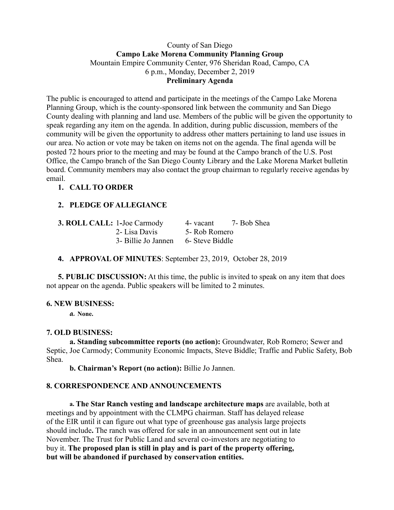### County of San Diego **Campo Lake Morena Community Planning Group** Mountain Empire Community Center, 976 Sheridan Road, Campo, CA 6 p.m., Monday, December 2, 2019 **Preliminary Agenda**

The public is encouraged to attend and participate in the meetings of the Campo Lake Morena Planning Group, which is the county-sponsored link between the community and San Diego County dealing with planning and land use. Members of the public will be given the opportunity to speak regarding any item on the agenda. In addition, during public discussion, members of the community will be given the opportunity to address other matters pertaining to land use issues in our area. No action or vote may be taken on items not on the agenda. The final agenda will be posted 72 hours prior to the meeting and may be found at the Campo branch of the U.S. Post Office, the Campo branch of the San Diego County Library and the Lake Morena Market bulletin board. Community members may also contact the group chairman to regularly receive agendas by email.

# **1. CALL TO ORDER**

# **2. PLEDGE OF ALLEGIANCE**

| <b>3. ROLL CALL: 1-Joe Carmody</b> |                     | 4- vacant       | 7- Bob Shea |
|------------------------------------|---------------------|-----------------|-------------|
|                                    | 2- Lisa Davis       | 5- Rob Romero   |             |
|                                    | 3- Billie Jo Jannen | 6- Steve Biddle |             |

## **4. APPROVAL OF MINUTES**: September 23, 2019, October 28, 2019

**5. PUBLIC DISCUSSION:** At this time, the public is invited to speak on any item that does not appear on the agenda. Public speakers will be limited to 2 minutes.

#### **6. NEW BUSINESS:**

**a. None.**

## **7. OLD BUSINESS:**

**a. Standing subcommittee reports (no action):** Groundwater, Rob Romero; Sewer and Septic, Joe Carmody; Community Economic Impacts, Steve Biddle; Traffic and Public Safety, Bob Shea.

**b. Chairman's Report (no action):** Billie Jo Jannen.

## **8. CORRESPONDENCE AND ANNOUNCEMENTS**

**a. The Star Ranch vesting and landscape architecture maps** are available, both at meetings and by appointment with the CLMPG chairman. Staff has delayed release of the EIR until it can figure out what type of greenhouse gas analysis large projects should include**.** The ranch was offered for sale in an announcement sent out in late November. The Trust for Public Land and several co-investors are negotiating to buy it. **The proposed plan is still in play and is part of the property offering, but will be abandoned if purchased by conservation entities.**